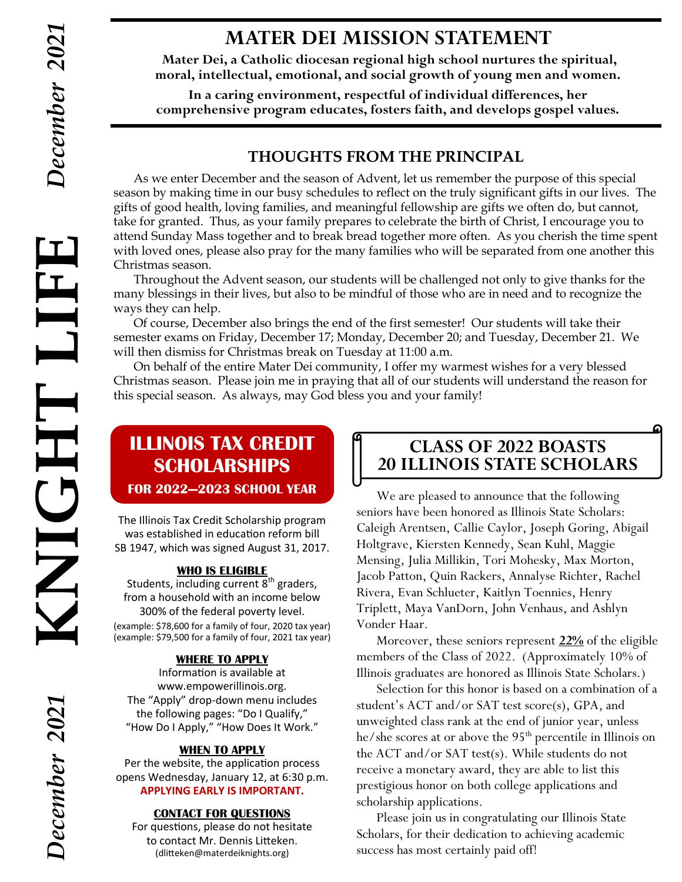# **MATER DEI MISSION STATEMENT**

**Mater Dei, a Catholic diocesan regional high school nurtures the spiritual, moral, intellectual, emotional, and social growth of young men and women.**

**In a caring environment, respectful of individual differences, her comprehensive program educates, fosters faith, and develops gospel values.**

## **THOUGHTS FROM THE PRINCIPAL**

As we enter December and the season of Advent, let us remember the purpose of this special season by making time in our busy schedules to reflect on the truly significant gifts in our lives. The gifts of good health, loving families, and meaningful fellowship are gifts we often do, but cannot, take for granted. Thus, as your family prepares to celebrate the birth of Christ, I encourage you to attend Sunday Mass together and to break bread together more often. As you cherish the time spent with loved ones, please also pray for the many families who will be separated from one another this Christmas season.

 Throughout the Advent season, our students will be challenged not only to give thanks for the many blessings in their lives, but also to be mindful of those who are in need and to recognize the ways they can help.

Of course, December also brings the end of the first semester! Our students will take their semester exams on Friday, December 17; Monday, December 20; and Tuesday, December 21. We will then dismiss for Christmas break on Tuesday at 11:00 a.m.

On behalf of the entire Mater Dei community, I offer my warmest wishes for a very blessed Christmas season. Please join me in praying that all of our students will understand the reason for this special season. As always, may God bless you and your family!

# **ILLINOIS TAX CREDIT SCHOLARSHIPS FOR 2022—2023 SCHOOL YEAR**

The Illinois Tax Credit Scholarship program was established in education reform bill SB 1947, which was signed August 31, 2017.

### **WHO IS ELIGIBLE**

Students, including current  $8<sup>th</sup>$  graders, from a household with an income below 300% of the federal poverty level.

(example: \$78,600 for a family of four, 2020 tax year) (example: \$79,500 for a family of four, 2021 tax year)

### **WHERE TO APPLY**

Information is available at www.empowerillinois.org. The "Apply" drop-down menu includes the following pages: "Do I Qualify," "How Do I Apply," "How Does It Work."

### **WHEN TO APPLY**

Per the website, the application process opens Wednesday, January 12, at 6:30 p.m. **APPLYING EARLY IS IMPORTANT.**

### **CONTACT FOR QUESTIONS**

For questions, please do not hesitate to contact Mr. Dennis Litteken. (dlitteken@materdeiknights.org)

# **CLASS OF 2022 BOASTS 20 ILLINOIS STATE SCHOLARS**

We are pleased to announce that the following seniors have been honored as Illinois State Scholars: Caleigh Arentsen, Callie Caylor, Joseph Goring, Abigail Holtgrave, Kiersten Kennedy, Sean Kuhl, Maggie Mensing, Julia Millikin, Tori Mohesky, Max Morton, Jacob Patton, Quin Rackers, Annalyse Richter, Rachel Rivera, Evan Schlueter, Kaitlyn Toennies, Henry Triplett, Maya VanDorn, John Venhaus, and Ashlyn Vonder Haar.

Moreover, these seniors represent **22%** of the eligible members of the Class of 2022. (Approximately 10% of Illinois graduates are honored as Illinois State Scholars.)

Selection for this honor is based on a combination of a student's ACT and/or SAT test score(s), GPA, and unweighted class rank at the end of junior year, unless he/she scores at or above the 95<sup>th</sup> percentile in Illinois on the ACT and/or SAT test(s). While students do not receive a monetary award, they are able to list this prestigious honor on both college applications and scholarship applications.

Please join us in congratulating our Illinois State Scholars, for their dedication to achieving academic success has most certainly paid off!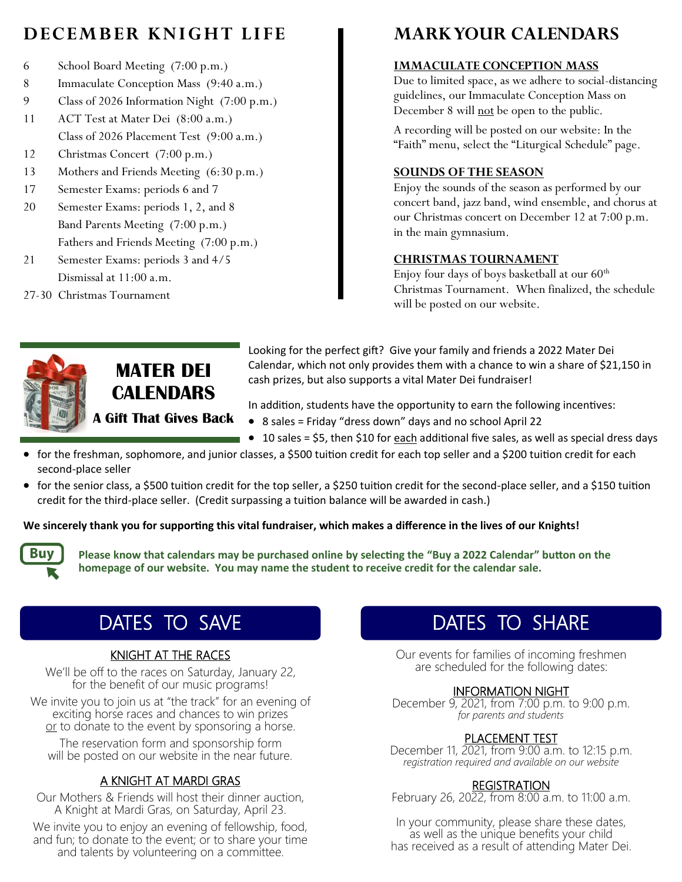# **DECEMBER KNIGHT LIFE**

- 6 School Board Meeting (7:00 p.m.)
- 8 Immaculate Conception Mass (9:40 a.m.)
- 9 Class of 2026 Information Night (7:00 p.m.)
- 11 ACT Test at Mater Dei (8:00 a.m.) Class of 2026 Placement Test (9:00 a.m.)
- 12 Christmas Concert (7:00 p.m.)
- 13 Mothers and Friends Meeting (6:30 p.m.)
- 17 Semester Exams: periods 6 and 7
- 20 Semester Exams: periods 1, 2, and 8 Band Parents Meeting (7:00 p.m.) Fathers and Friends Meeting (7:00 p.m.)
- 21 Semester Exams: periods 3 and 4/5 Dismissal at 11:00 a.m.
- 27-30 Christmas Tournament

# **MARK YOUR CALENDARS**

### **IMMACULATE CONCEPTION MASS**

Due to limited space, as we adhere to social-distancing guidelines, our Immaculate Conception Mass on December 8 will not be open to the public.

A recording will be posted on our website: In the "Faith" menu, select the "Liturgical Schedule" page.

### **SOUNDS OF THE SEASON**

Enjoy the sounds of the season as performed by our concert band, jazz band, wind ensemble, and chorus at our Christmas concert on December 12 at 7:00 p.m. in the main gymnasium.

### **CHRISTMAS TOURNAMENT**

Enjoy four days of boys basketball at our  $60<sup>th</sup>$ Christmas Tournament. When finalized, the schedule will be posted on our website.



**MATER DEI CALENDARS A Gift That Gives Back** Looking for the perfect gift? Give your family and friends a 2022 Mater Dei Calendar, which not only provides them with a chance to win a share of \$21,150 in cash prizes, but also supports a vital Mater Dei fundraiser!

In addition, students have the opportunity to earn the following incentives:

- 8 sales = Friday "dress down" days and no school April 22
- 10 sales = \$5, then \$10 for each additional five sales, as well as special dress days
- for the freshman, sophomore, and junior classes, a \$500 tuition credit for each top seller and a \$200 tuition credit for each second-place seller
- for the senior class, a \$500 tuition credit for the top seller, a \$250 tuition credit for the second-place seller, and a \$150 tuition credit for the third-place seller. (Credit surpassing a tuition balance will be awarded in cash.)

### **We sincerely thank you for supporting this vital fundraiser, which makes a difference in the lives of our Knights!**



**Please know that calendars may be purchased online by selecting the "Buy a 2022 Calendar" button on the homepage of our website. You may name the student to receive credit for the calendar sale.**

# DATES TO SAVE

### KNIGHT AT THE RACES

We'll be off to the races on Saturday, January 22, for the benefit of our music programs!

We invite you to join us at "the track" for an evening of exciting horse races and chances to win prizes or to donate to the event by sponsoring a horse.

The reservation form and sponsorship form will be posted on our website in the near future.

### A KNIGHT AT MARDI GRAS

Our Mothers & Friends will host their dinner auction, A Knight at Mardi Gras, on Saturday, April 23.

We invite you to enjoy an evening of fellowship, food, and fun; to donate to the event; or to share your time and talents by volunteering on a committee.

# DATES TO SHARE

Our events for families of incoming freshmen are scheduled for the following dates:

### INFORMATION NIGHT

December 9, 2021, from 7:00 p.m. to 9:00 p.m. *for parents and students*

### PLACEMENT TEST

December 11, 2021, from 9:00 a.m. to 12:15 p.m. *registration required and available on our website*

### **REGISTRATION**

February 26, 2022, from 8:00 a.m. to 11:00 a.m.

In your community, please share these dates, as well as the unique benefits your child has received as a result of attending Mater Dei.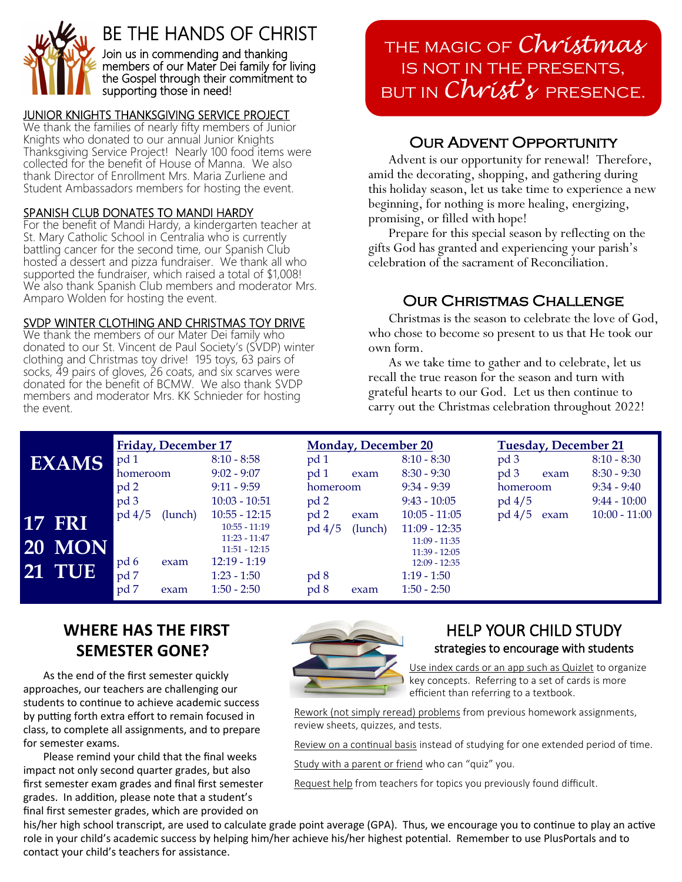

# BE THE HANDS OF CHRIST

Join us in commending and thanking members of our Mater Dei family for living the Gospel through their commitment to supporting those in need!

## JUNIOR KNIGHTS THANKSGIVING SERVICE PROJECT

We thank the families of nearly fifty members of Junior Knights who donated to our annual Junior Knights Thanksgiving Service Project! Nearly 100 food items were collected for the benefit of House of Manna. We also thank Director of Enrollment Mrs. Maria Zurliene and Student Ambassadors members for hosting the event.

### SPANISH CLUB DONATES TO MANDI HARDY

For the benefit of Mandi Hardy, a kindergarten teacher at St. Mary Catholic School in Centralia who is currently battling cancer for the second time, our Spanish Club hosted a dessert and pizza fundraiser. We thank all who supported the fundraiser, which raised a total of \$1,008! We also thank Spanish Club members and moderator Mrs. Amparo Wolden for hosting the event.

### SVDP WINTER CLOTHING AND CHRISTMAS TOY DRIVE

We thank the members of our Mater Dei family who donated to our St. Vincent de Paul Society's (SVDP) winter clothing and Christmas toy drive! 195 toys, 63 pairs of socks, 49 pairs of gloves, 26 coats, and six scarves were donated for the benefit of BCMW. We also thank SVDP members and moderator Mrs. KK Schnieder for hosting the event.

the magic of *Christmas* is not in the presents, but in *Christ's* presence.

# Our Advent Opportunity

Advent is our opportunity for renewal! Therefore, amid the decorating, shopping, and gathering during this holiday season, let us take time to experience a new beginning, for nothing is more healing, energizing, promising, or filled with hope!

Prepare for this special season by reflecting on the gifts God has granted and experiencing your parish's celebration of the sacrament of Reconciliation.

## Our Christmas Challenge

Christmas is the season to celebrate the love of God, who chose to become so present to us that He took our own form.

As we take time to gather and to celebrate, let us recall the true reason for the season and turn with grateful hearts to our God. Let us then continue to carry out the Christmas celebration throughout 2022!

| <b>EXAMS</b>                                    | Friday, December 17<br>pd <sub>1</sub><br>homeroom<br>pd 2<br>pd 3 | $8:10 - 8:58$<br>$9:02 - 9:07$<br>$9:11 - 9:59$<br>$10:03 - 10:51$                                                           | <b>Monday, December 20</b><br>pd 1<br>pd <sub>1</sub><br>exam<br>homeroom<br>pd 2 | $8:10 - 8:30$<br>$8:30 - 9:30$<br>$9:34 - 9:39$<br>$9:43 - 10:05$                                                             | <b>Tuesday, December 21</b><br>pd 3<br>pd <sub>3</sub><br>exam<br>homeroom<br>$pd\,4/5$ | $8:10 - 8:30$<br>$8:30 - 9:30$<br>$9:34 - 9:40$<br>$9:44 - 10:00$ |
|-------------------------------------------------|--------------------------------------------------------------------|------------------------------------------------------------------------------------------------------------------------------|-----------------------------------------------------------------------------------|-------------------------------------------------------------------------------------------------------------------------------|-----------------------------------------------------------------------------------------|-------------------------------------------------------------------|
| <b>17 FRI</b><br><b>20 MON</b><br><b>21 TUE</b> | $pd\ 4/5$<br>(lunch)<br>pd 6<br>exam<br>pd 7<br>pd 7<br>exam       | $10:55 - 12:15$<br>$10:55 - 11:19$<br>$11:23 - 11:47$<br>$11:51 - 12:15$<br>$12:19 - 1:19$<br>$1:23 - 1:50$<br>$1:50 - 2:50$ | pd <sub>2</sub><br>exam<br>$pd\,4/5$<br>(lunch)<br>pd 8<br>pd 8<br>exam           | $10:05 - 11:05$<br>$11:09 - 12:35$<br>$11:09 - 11:35$<br>$11:39 - 12:05$<br>$12:09 - 12:35$<br>$1:19 - 1:50$<br>$1:50 - 2:50$ | pd 4/5<br>exam                                                                          | $10:00 - 11:00$                                                   |

# **WHERE HAS THE FIRST SEMESTER GONE?**

As the end of the first semester quickly approaches, our teachers are challenging our students to continue to achieve academic success by putting forth extra effort to remain focused in class, to complete all assignments, and to prepare for semester exams.

Please remind your child that the final weeks impact not only second quarter grades, but also first semester exam grades and final first semester grades. In addition, please note that a student's final first semester grades, which are provided on



### HELP YOUR CHILD STUDY strategies to encourage with students

Use index cards or an app such as Quizlet to organize key concepts. Referring to a set of cards is more efficient than referring to a textbook.

Rework (not simply reread) problems from previous homework assignments, review sheets, quizzes, and tests.

Review on a continual basis instead of studying for one extended period of time.

Study with a parent or friend who can "quiz" you.

Request help from teachers for topics you previously found difficult.

his/her high school transcript, are used to calculate grade point average (GPA). Thus, we encourage you to continue to play an active role in your child's academic success by helping him/her achieve his/her highest potential. Remember to use PlusPortals and to contact your child's teachers for assistance.